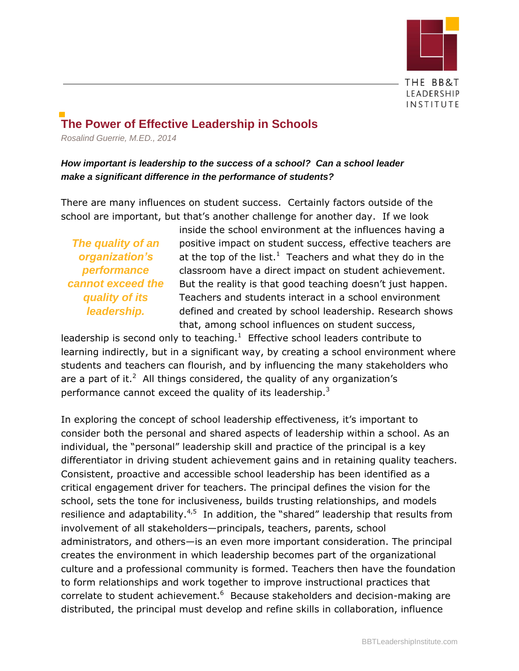

# **The Power of Effective Leadership in Schools**

*Rosalind Guerrie, M.ED., 2014*

### *How important is leadership to the success of a school? Can a school leader make a significant difference in the performance of students?*

There are many influences on student success. Certainly factors outside of the school are important, but that's another challenge for another day. If we look

*The quality of an organization's performance cannot exceed the quality of its leadership.*

inside the school environment at the influences having a positive impact on student success, effective teachers are at the top of the list.<sup>1</sup> Teachers and what they do in the classroom have a direct impact on student achievement. But the reality is that good teaching doesn't just happen. Teachers and students interact in a school environment defined and created by school leadership. Research shows that, among school influences on student success,

leadership is second only to teaching. $1$  Effective school leaders contribute to learning indirectly, but in a significant way, by creating a school environment where students and teachers can flourish, and by influencing the many stakeholders who are a part of it.<sup>2</sup> All things considered, the quality of any organization's performance cannot exceed the quality of its leadership.<sup>3</sup>

In exploring the concept of school leadership effectiveness, it's important to consider both the personal and shared aspects of leadership within a school. As an individual, the "personal" leadership skill and practice of the principal is a key differentiator in driving student achievement gains and in retaining quality teachers. Consistent, proactive and accessible school leadership has been identified as a critical engagement driver for teachers. The principal defines the vision for the school, sets the tone for inclusiveness, builds trusting relationships, and models resilience and adaptability.<sup>4,5</sup> In addition, the "shared" leadership that results from involvement of all stakeholders—principals, teachers, parents, school administrators, and others—is an even more important consideration. The principal creates the environment in which leadership becomes part of the organizational culture and a professional community is formed. Teachers then have the foundation to form relationships and work together to improve instructional practices that correlate to student achievement.<sup>6</sup> Because stakeholders and decision-making are distributed, the principal must develop and refine skills in collaboration, influence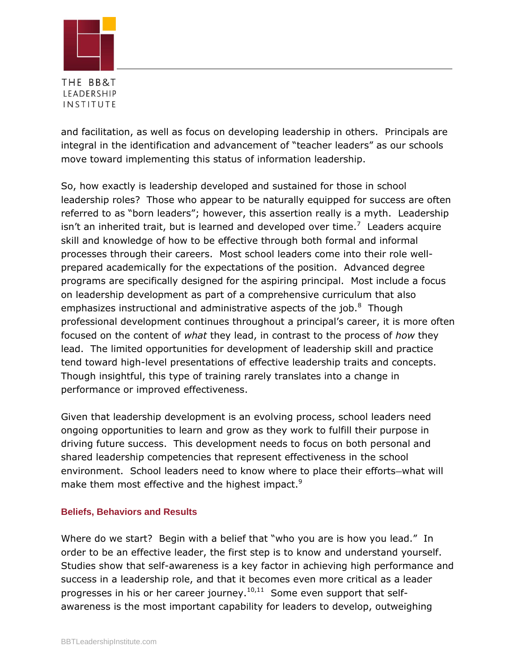

and facilitation, as well as focus on developing leadership in others. Principals are integral in the identification and advancement of "teacher leaders" as our schools move toward implementing this status of information leadership.

So, how exactly is leadership developed and sustained for those in school leadership roles? Those who appear to be naturally equipped for success are often referred to as "born leaders"; however, this assertion really is a myth. Leadership isn't an inherited trait, but is learned and developed over time.<sup>7</sup> Leaders acquire skill and knowledge of how to be effective through both formal and informal processes through their careers. Most school leaders come into their role wellprepared academically for the expectations of the position. Advanced degree programs are specifically designed for the aspiring principal. Most include a focus on leadership development as part of a comprehensive curriculum that also emphasizes instructional and administrative aspects of the job. $8$  Though professional development continues throughout a principal's career, it is more often focused on the content of *what* they lead, in contrast to the process of *how* they lead. The limited opportunities for development of leadership skill and practice tend toward high-level presentations of effective leadership traits and concepts. Though insightful, this type of training rarely translates into a change in performance or improved effectiveness.

Given that leadership development is an evolving process, school leaders need ongoing opportunities to learn and grow as they work to fulfill their purpose in driving future success. This development needs to focus on both personal and shared leadership competencies that represent effectiveness in the school environment. School leaders need to know where to place their efforts—what will make them most effective and the highest impact.<sup>9</sup>

#### **Beliefs, Behaviors and Results**

Where do we start? Begin with a belief that "who you are is how you lead." In order to be an effective leader, the first step is to know and understand yourself. Studies show that self-awareness is a key factor in achieving high performance and success in a leadership role, and that it becomes even more critical as a leader progresses in his or her career journey.<sup>10,11</sup> Some even support that selfawareness is the most important capability for leaders to develop, outweighing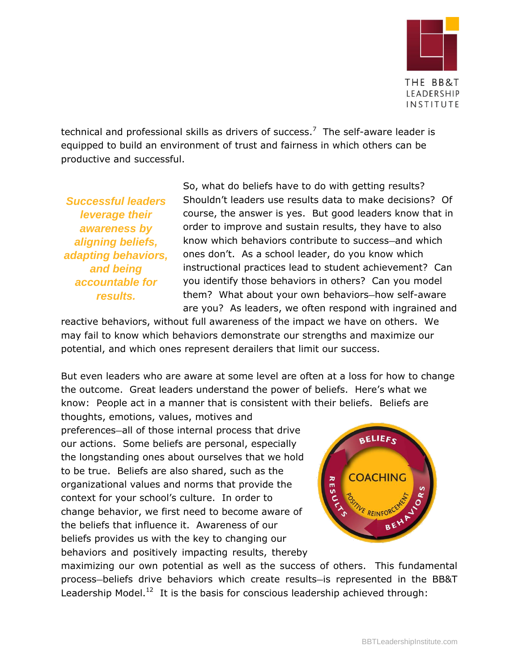

LEADERSHIP INSTITUTE

technical and professional skills as drivers of success.<sup>7</sup> The self-aware leader is equipped to build an environment of trust and fairness in which others can be productive and successful.

*Successful leaders leverage their awareness by aligning beliefs, adapting behaviors, and being accountable for results.*

So, what do beliefs have to do with getting results? Shouldn't leaders use results data to make decisions? Of course, the answer is yes. But good leaders know that in order to improve and sustain results, they have to also know which behaviors contribute to success—and which ones don't. As a school leader, do you know which instructional practices lead to student achievement? Can you identify those behaviors in others? Can you model them? What about your own behaviors—how self-aware are you? As leaders, we often respond with ingrained and

reactive behaviors, without full awareness of the impact we have on others. We may fail to know which behaviors demonstrate our strengths and maximize our potential, and which ones represent derailers that limit our success.

But even leaders who are aware at some level are often at a loss for how to change the outcome. Great leaders understand the power of beliefs. Here's what we know: People act in a manner that is consistent with their beliefs. Beliefs are

thoughts, emotions, values, motives and preferences—all of those internal process that drive our actions. Some beliefs are personal, especially the longstanding ones about ourselves that we hold to be true. Beliefs are also shared, such as the organizational values and norms that provide the context for your school's culture. In order to change behavior, we first need to become aware of the beliefs that influence it. Awareness of our beliefs provides us with the key to changing our behaviors and positively impacting results, thereby



maximizing our own potential as well as the success of others. This fundamental process—beliefs drive behaviors which create results—is represented in the BB&T Leadership Model.<sup>12</sup> It is the basis for conscious leadership achieved through: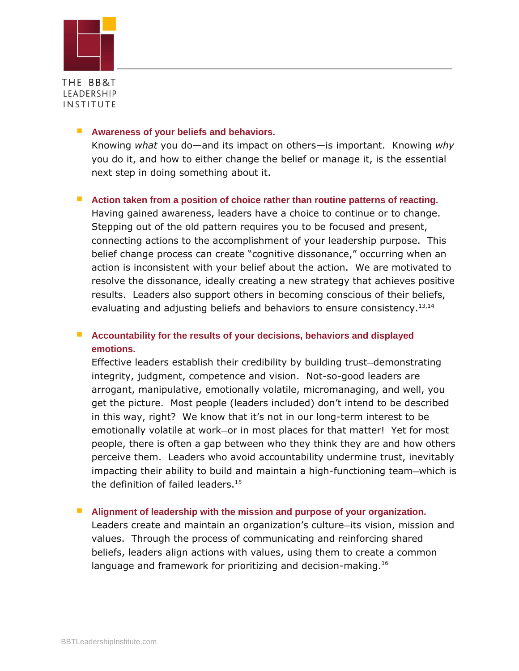

#### **Awareness of your beliefs and behaviors.**

Knowing *what* you do—and its impact on others—is important. Knowing *why*  you do it, and how to either change the belief or manage it, is the essential next step in doing something about it.

#### ■ Action taken from a position of choice rather than routine patterns of reacting.

Having gained awareness, leaders have a choice to continue or to change. Stepping out of the old pattern requires you to be focused and present, connecting actions to the accomplishment of your leadership purpose. This belief change process can create "cognitive dissonance," occurring when an action is inconsistent with your belief about the action. We are motivated to resolve the dissonance, ideally creating a new strategy that achieves positive results. Leaders also support others in becoming conscious of their beliefs, evaluating and adjusting beliefs and behaviors to ensure consistency.  $13,14$ 

### **Accountability for the results of your decisions, behaviors and displayed emotions.**

Effective leaders establish their credibility by building trust—demonstrating integrity, judgment, competence and vision. Not-so-good leaders are arrogant, manipulative, emotionally volatile, micromanaging, and well, you get the picture. Most people (leaders included) don't intend to be described in this way, right? We know that it's not in our long-term interest to be emotionally volatile at work—or in most places for that matter! Yet for most people, there is often a gap between who they think they are and how others perceive them. Leaders who avoid accountability undermine trust, inevitably impacting their ability to build and maintain a high-functioning team—which is the definition of failed leaders.<sup>15</sup>

#### **Alignment of leadership with the mission and purpose of your organization.**

Leaders create and maintain an organization's culture—its vision, mission and values. Through the process of communicating and reinforcing shared beliefs, leaders align actions with values, using them to create a common language and framework for prioritizing and decision-making.<sup>16</sup>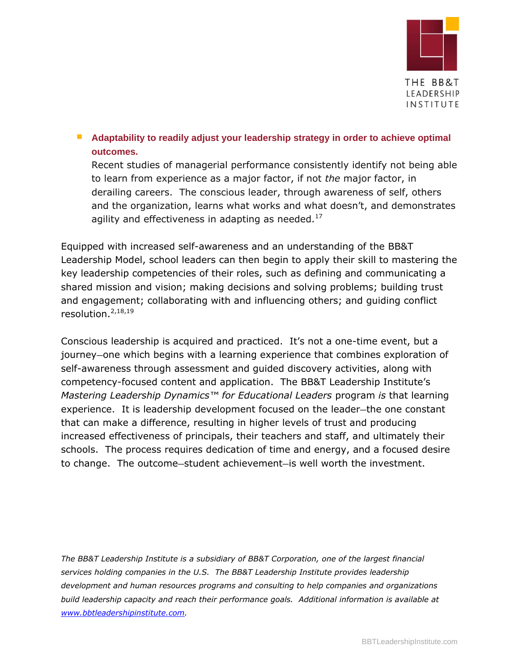

### **Adaptability to readily adjust your leadership strategy in order to achieve optimal outcomes.**

Recent studies of managerial performance consistently identify not being able to learn from experience as a major factor, if not *the* major factor, in derailing careers. The conscious leader, through awareness of self, others and the organization, learns what works and what doesn't, and demonstrates agility and effectiveness in adapting as needed. $^{17}$ 

Equipped with increased self-awareness and an understanding of the BB&T Leadership Model, school leaders can then begin to apply their skill to mastering the key leadership competencies of their roles, such as defining and communicating a shared mission and vision; making decisions and solving problems; building trust and engagement; collaborating with and influencing others; and guiding conflict resolution. $2,18,19$ 

Conscious leadership is acquired and practiced. It's not a one-time event, but a journey—one which begins with a learning experience that combines exploration of self-awareness through assessment and guided discovery activities, along with competency-focused content and application. The BB&T Leadership Institute's *Mastering Leadership Dynamics™ for Educational Leaders* program *is* that learning experience. It is leadership development focused on the leader—the one constant that can make a difference, resulting in higher levels of trust and producing increased effectiveness of principals, their teachers and staff, and ultimately their schools. The process requires dedication of time and energy, and a focused desire to change. The outcome—student achievement—is well worth the investment.

*The BB&T Leadership Institute is a subsidiary of BB&T Corporation, one of the largest financial services holding companies in the U.S. The BB&T Leadership Institute provides leadership development and human resources programs and consulting to help companies and organizations build leadership capacity and reach their performance goals. Additional information is available at [www.bbtleadershipinstitute.com.](http://www.bbtleadershipinstitute.com/)*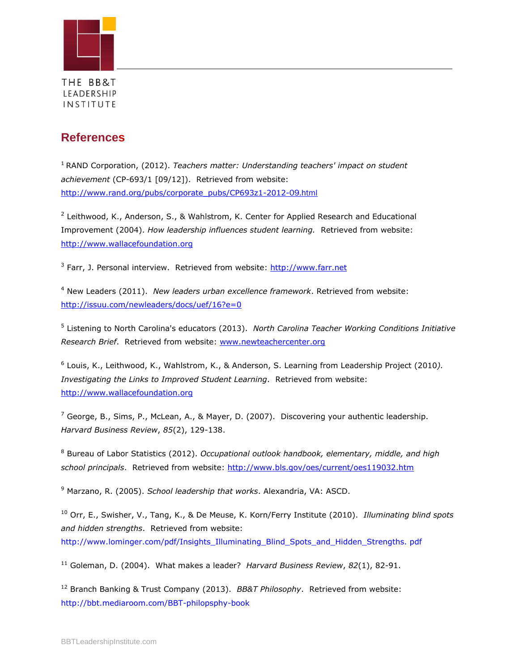

## **References**

<sup>1</sup> RAND Corporation, (2012). *Teachers matter: Understanding teachers' impact on student achievement* (CP-693/1 [09/12]). Retrieved from website: [http://www.rand.org/pubs/corporate\\_pubs/CP693z1-2012-](http://www.rand.org/pubs/corporate_pubs/CP693z1-2012-)09.html

<sup>2</sup> Leithwood, K., Anderson, S., & Wahlstrom, K. Center for Applied Research and Educational Improvement (2004). *How leadership influences student learning.* Retrieved from website: [http://www.wallacefoundation.org](http://www.wallacefoundation.org/)

<sup>3</sup> Farr, J. Personal interview. Retrieved from website: [http://www.farr.net](http://www.farr.net/)

<sup>4</sup> New Leaders (2011). *New leaders urban excellence framework*. Retrieved from website: <http://issuu.com/newleaders/docs/uef/16?e=0>

5 Listening to North Carolina's educators (2013). *North Carolina Teacher Working Conditions Initiative Research Brief*. Retrieved from website: [www.newteachercenter.org](http://www.newteachercenter.org/)

6 Louis, K., Leithwood, K., Wahlstrom, K., & Anderson, S. Learning from Leadership Project (2010*). Investigating the Links to Improved Student Learning*. Retrieved from website: [http://www.wallacefoundation.org](http://www.wallacefoundation.org/)

 $<sup>7</sup>$  George, B., Sims, P., McLean, A., & Mayer, D. (2007). Discovering your authentic leadership.</sup> *Harvard Business Review*, *85*(2), 129-138.

<sup>8</sup> Bureau of Labor Statistics (2012). *Occupational outlook handbook, elementary, middle, and high school principals*. Retrieved from website:<http://www.bls.gov/oes/current/oes119032.htm>

<sup>9</sup> Marzano, R. (2005). *School leadership that works*. Alexandria, VA: ASCD.

<sup>10</sup> Orr, E., Swisher, V., Tang, K., & De Meuse, K. Korn/Ferry Institute (2010). *Illuminating blind spots and hidden strengths*. Retrieved from website: http://www.lominger.com/pdf/Insights\_Illuminating\_Blind\_Spots\_and\_Hidden\_Strengths. pdf

<sup>11</sup> Goleman, D. (2004). What makes a leader? *Harvard Business Review*, *82*(1), 82-91.

<sup>12</sup> Branch Banking & Trust Company (2013). *BB&T Philosophy*. Retrieved from website: http://bbt.mediaroom.com/BBT-philopsphy-book